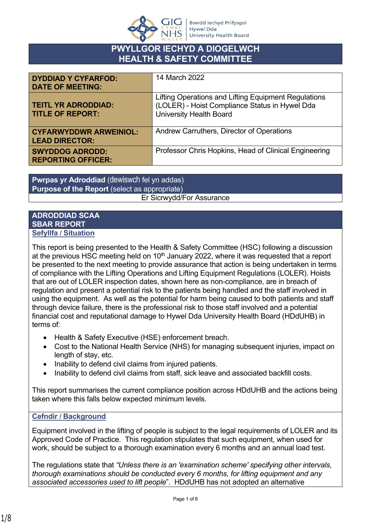

# **PWYLLGOR IECHYD A DIOGELWCH HEALTH & SAFETY COMMITTEE**

| <b>DYDDIAD Y CYFARFOD:</b><br><b>DATE OF MEETING:</b>  | 14 March 2022                                                                                                                            |
|--------------------------------------------------------|------------------------------------------------------------------------------------------------------------------------------------------|
| <b>TEITL YR ADRODDIAD:</b><br><b>TITLE OF REPORT:</b>  | Lifting Operations and Lifting Equipment Regulations<br>(LOLER) - Hoist Compliance Status in Hywel Dda<br><b>University Health Board</b> |
| <b>CYFARWYDDWR ARWEINIOL:</b><br><b>LEAD DIRECTOR:</b> | Andrew Carruthers, Director of Operations                                                                                                |
| <b>SWYDDOG ADRODD:</b><br><b>REPORTING OFFICER:</b>    | Professor Chris Hopkins, Head of Clinical Engineering                                                                                    |

**Pwrpas yr Adroddiad** (dewiswch fel yn addas) **Purpose of the Report** (select as appropriate) Er Sicrwydd/For Assurance

### **ADRODDIAD SCAA SBAR REPORT Sefyllfa / Situation**

This report is being presented to the Health & Safety Committee (HSC) following a discussion at the previous HSC meeting held on  $10<sup>th</sup>$  January 2022, where it was requested that a report be presented to the next meeting to provide assurance that action is being undertaken in terms of compliance with the Lifting Operations and Lifting Equipment Regulations (LOLER). Hoists that are out of LOLER inspection dates, shown here as non-compliance, are in breach of regulation and present a potential risk to the patients being handled and the staff involved in using the equipment. As well as the potential for harm being caused to both patients and staff through device failure, there is the professional risk to those staff involved and a potential financial cost and reputational damage to Hywel Dda University Health Board (HDdUHB) in terms of:

- Health & Safety Executive (HSE) enforcement breach.
- Cost to the National Health Service (NHS) for managing subsequent injuries, impact on length of stay, etc.
- Inability to defend civil claims from injured patients.
- Inability to defend civil claims from staff, sick leave and associated backfill costs.

This report summarises the current compliance position across HDdUHB and the actions being taken where this falls below expected minimum levels.

## **Cefndir / Background**

Equipment involved in the lifting of people is subject to the legal requirements of LOLER and its Approved Code of Practice. This regulation stipulates that such equipment, when used for work, should be subject to a thorough examination every 6 months and an annual load test.

The regulations state that *"Unless there is an 'examination scheme' specifying other intervals, thorough examinations should be conducted every 6 months, for lifting equipment and any associated accessories used to lift people*". HDdUHB has not adopted an alternative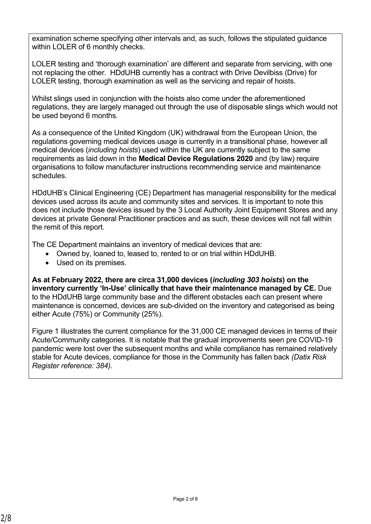examination scheme specifying other intervals and, as such, follows the stipulated guidance within LOLER of 6 monthly checks.

LOLER testing and 'thorough examination' are different and separate from servicing, with one not replacing the other. HDdUHB currently has a contract with Drive Devilbiss (Drive) for LOLER testing, thorough examination as well as the servicing and repair of hoists.

Whilst slings used in conjunction with the hoists also come under the aforementioned regulations, they are largely managed out through the use of disposable slings which would not be used beyond 6 months.

As a consequence of the United Kingdom (UK) withdrawal from the European Union, the regulations governing medical devices usage is currently in a transitional phase, however all medical devices (*including hoists*) used within the UK are currently subject to the same requirements as laid down in the **Medical Device Regulations 2020** and (by law) require organisations to follow manufacturer instructions recommending service and maintenance schedules.

HDdUHB's Clinical Engineering (CE) Department has managerial responsibility for the medical devices used across its acute and community sites and services. It is important to note this does not include those devices issued by the 3 Local Authority Joint Equipment Stores and any devices at private General Practitioner practices and as such, these devices will not fall within the remit of this report.

The CE Department maintains an inventory of medical devices that are:

- Owned by, loaned to, leased to, rented to or on trial within HDdUHB.
- Used on its premises.

**As at February 2022, there are circa 31,000 devices (***including 303 hoists***) on the inventory currently 'In-Use' clinically that have their maintenance managed by CE.** Due to the HDdUHB large community base and the different obstacles each can present where maintenance is concerned, devices are sub-divided on the inventory and categorised as being either Acute (75%) or Community (25%).

Figure 1 illustrates the current compliance for the 31,000 CE managed devices in terms of their Acute/Community categories. It is notable that the gradual improvements seen pre COVID-19 pandemic were lost over the subsequent months and while compliance has remained relatively stable for Acute devices, compliance for those in the Community has fallen back *(Datix Risk Register reference: 384).*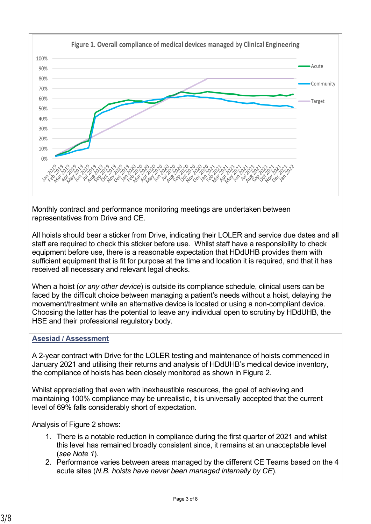

Monthly contract and performance monitoring meetings are undertaken between representatives from Drive and CE.

All hoists should bear a sticker from Drive, indicating their LOLER and service due dates and all staff are required to check this sticker before use. Whilst staff have a responsibility to check equipment before use, there is a reasonable expectation that HDdUHB provides them with sufficient equipment that is fit for purpose at the time and location it is required, and that it has received all necessary and relevant legal checks.

When a hoist (*or any other device*) is outside its compliance schedule, clinical users can be faced by the difficult choice between managing a patient's needs without a hoist, delaying the movement/treatment while an alternative device is located or using a non-compliant device. Choosing the latter has the potential to leave any individual open to scrutiny by HDdUHB, the HSE and their professional regulatory body.

## **Asesiad / Assessment**

A 2-year contract with Drive for the LOLER testing and maintenance of hoists commenced in January 2021 and utilising their returns and analysis of HDdUHB's medical device inventory, the compliance of hoists has been closely monitored as shown in Figure 2.

Whilst appreciating that even with inexhaustible resources, the goal of achieving and maintaining 100% compliance may be unrealistic, it is universally accepted that the current level of 69% falls considerably short of expectation.

Analysis of Figure 2 shows:

- 1. There is a notable reduction in compliance during the first quarter of 2021 and whilst this level has remained broadly consistent since, it remains at an unacceptable level (*see Note 1*).
- 2. Performance varies between areas managed by the different CE Teams based on the 4 acute sites (*N.B. hoists have never been managed internally by CE*).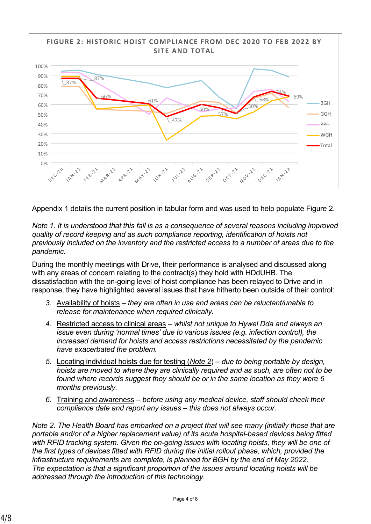

Appendix 1 details the current position in tabular form and was used to help populate Figure 2.

*Note 1. It is understood that this fall is as a consequence of several reasons including improved quality of record keeping and as such compliance reporting, identification of hoists not previously included on the inventory and the restricted access to a number of areas due to the pandemic.* 

During the monthly meetings with Drive, their performance is analysed and discussed along with any areas of concern relating to the contract(s) they hold with HDdUHB. The dissatisfaction with the on-going level of hoist compliance has been relayed to Drive and in response, they have highlighted several issues that have hitherto been outside of their control:

- *3.* Availability of hoists *they are often in use and areas can be reluctant/unable to release for maintenance when required clinically.*
- *4.* Restricted access to clinical areas *whilst not unique to Hywel Dda and always an issue even during 'normal times' due to various issues (e.g. infection control), the increased demand for hoists and access restrictions necessitated by the pandemic have exacerbated the problem.*
- *5.* Locating individual hoists due for testing (*Note 2*) *due to being portable by design, hoists are moved to where they are clinically required and as such, are often not to be found where records suggest they should be or in the same location as they were 6 months previously.*
- *6.* Training and awareness *before using any medical device, staff should check their compliance date and report any issues – this does not always occur.*

*Note 2. The Health Board has embarked on a project that will see many (initially those that are portable and/or of a higher replacement value) of its acute hospital-based devices being fitted with RFID tracking system. Given the on-going issues with locating hoists, they will be one of the first types of devices fitted with RFID during the initial rollout phase, which, provided the infrastructure requirements are complete, is planned for BGH by the end of May 2022. The expectation is that a significant proportion of the issues around locating hoists will be addressed through the introduction of this technology.*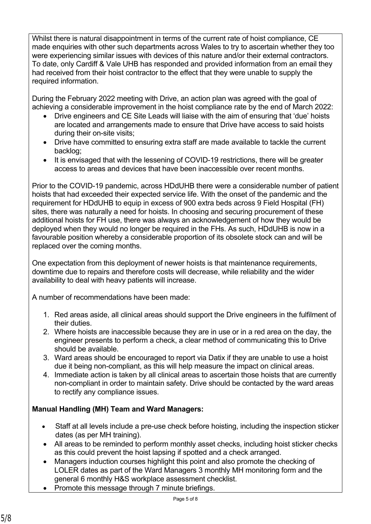Whilst there is natural disappointment in terms of the current rate of hoist compliance, CE made enquiries with other such departments across Wales to try to ascertain whether they too were experiencing similar issues with devices of this nature and/or their external contractors. To date, only Cardiff & Vale UHB has responded and provided information from an email they had received from their hoist contractor to the effect that they were unable to supply the required information.

During the February 2022 meeting with Drive, an action plan was agreed with the goal of achieving a considerable improvement in the hoist compliance rate by the end of March 2022:

- Drive engineers and CE Site Leads will liaise with the aim of ensuring that 'due' hoists are located and arrangements made to ensure that Drive have access to said hoists during their on-site visits;
- Drive have committed to ensuring extra staff are made available to tackle the current backlog;
- It is envisaged that with the lessening of COVID-19 restrictions, there will be greater access to areas and devices that have been inaccessible over recent months.

Prior to the COVID-19 pandemic, across HDdUHB there were a considerable number of patient hoists that had exceeded their expected service life. With the onset of the pandemic and the requirement for HDdUHB to equip in excess of 900 extra beds across 9 Field Hospital (FH) sites, there was naturally a need for hoists. In choosing and securing procurement of these additional hoists for FH use, there was always an acknowledgement of how they would be deployed when they would no longer be required in the FHs. As such, HDdUHB is now in a favourable position whereby a considerable proportion of its obsolete stock can and will be replaced over the coming months.

One expectation from this deployment of newer hoists is that maintenance requirements, downtime due to repairs and therefore costs will decrease, while reliability and the wider availability to deal with heavy patients will increase.

A number of recommendations have been made:

- 1. Red areas aside, all clinical areas should support the Drive engineers in the fulfilment of their duties.
- 2. Where hoists are inaccessible because they are in use or in a red area on the day, the engineer presents to perform a check, a clear method of communicating this to Drive should be available.
- 3. Ward areas should be encouraged to report via Datix if they are unable to use a hoist due it being non-compliant, as this will help measure the impact on clinical areas.
- 4. Immediate action is taken by all clinical areas to ascertain those hoists that are currently non-compliant in order to maintain safety. Drive should be contacted by the ward areas to rectify any compliance issues.

## **Manual Handling (MH) Team and Ward Managers:**

- Staff at all levels include a pre-use check before hoisting, including the inspection sticker dates (as per MH training).
- All areas to be reminded to perform monthly asset checks, including hoist sticker checks as this could prevent the hoist lapsing if spotted and a check arranged.
- Managers induction courses highlight this point and also promote the checking of LOLER dates as part of the Ward Managers 3 monthly MH monitoring form and the general 6 monthly H&S workplace assessment checklist.
- Promote this message through 7 minute briefings.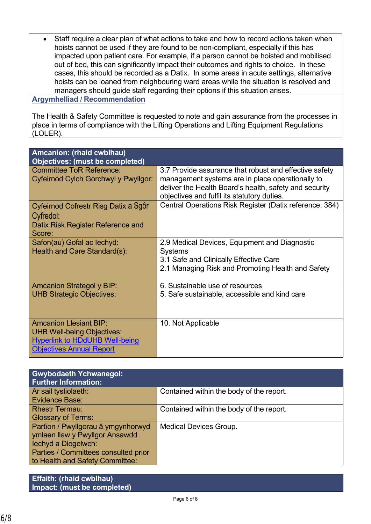Staff require a clear plan of what actions to take and how to record actions taken when hoists cannot be used if they are found to be non-compliant, especially if this has impacted upon patient care. For example, if a person cannot be hoisted and mobilised out of bed, this can significantly impact their outcomes and rights to choice. In these cases, this should be recorded as a Datix. In some areas in acute settings, alternative hoists can be loaned from neighbouring ward areas while the situation is resolved and managers should guide staff regarding their options if this situation arises.

#### **Argymhelliad / Recommendation**

The Health & Safety Committee is requested to note and gain assurance from the processes in place in terms of compliance with the Lifting Operations and Lifting Equipment Regulations (LOLER).

| <b>Amcanion: (rhaid cwblhau)</b><br><b>Objectives: (must be completed)</b> |                                                                                                                                                                      |  |  |
|----------------------------------------------------------------------------|----------------------------------------------------------------------------------------------------------------------------------------------------------------------|--|--|
| <b>Committee ToR Reference:</b><br>Cyfeirnod Cylch Gorchwyl y Pwyllgor:    | 3.7 Provide assurance that robust and effective safety<br>management systems are in place operationally to<br>deliver the Health Board's health, safety and security |  |  |
|                                                                            | objectives and fulfil its statutory duties.                                                                                                                          |  |  |
| Cyfeirnod Cofrestr Risg Datix a Sgôr<br>Cyfredol:                          | Central Operations Risk Register (Datix reference: 384)                                                                                                              |  |  |
| Datix Risk Register Reference and<br>Score:                                |                                                                                                                                                                      |  |  |
| Safon(au) Gofal ac lechyd:<br>Health and Care Standard(s):                 | 2.9 Medical Devices, Equipment and Diagnostic<br><b>Systems</b>                                                                                                      |  |  |
|                                                                            | 3.1 Safe and Clinically Effective Care                                                                                                                               |  |  |
|                                                                            | 2.1 Managing Risk and Promoting Health and Safety                                                                                                                    |  |  |
| <b>Amcanion Strategol y BIP:</b>                                           | 6. Sustainable use of resources                                                                                                                                      |  |  |
| <b>UHB Strategic Objectives:</b>                                           | 5. Safe sustainable, accessible and kind care                                                                                                                        |  |  |
| <b>Amcanion Llesiant BIP:</b><br><b>UHB Well-being Objectives:</b>         | 10. Not Applicable                                                                                                                                                   |  |  |
| <b>Hyperlink to HDdUHB Well-being</b><br><b>Objectives Annual Report</b>   |                                                                                                                                                                      |  |  |

| <b>Gwybodaeth Ychwanegol:</b><br><b>Further Information:</b> |                                          |
|--------------------------------------------------------------|------------------------------------------|
| Ar sail tystiolaeth:                                         | Contained within the body of the report. |
| <b>Evidence Base:</b>                                        |                                          |
| <b>Rhestr Termau:</b>                                        | Contained within the body of the report. |
| <b>Glossary of Terms:</b>                                    |                                          |
| Partïon / Pwyllgorau â ymgynhorwyd                           | <b>Medical Devices Group.</b>            |
| ymlaen llaw y Pwyllgor Ansawdd                               |                                          |
| lechyd a Diogelwch:                                          |                                          |
| Parties / Committees consulted prior                         |                                          |
| to Health and Safety Committee:                              |                                          |

**Effaith: (rhaid cwblhau) Impact: (must be completed)**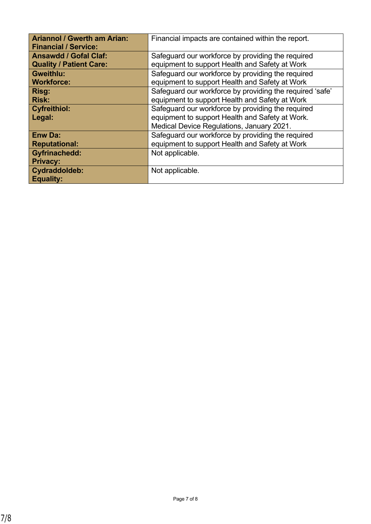| <b>Ariannol / Gwerth am Arian:</b><br><b>Financial / Service:</b> | Financial impacts are contained within the report.                                                                                                |  |  |  |
|-------------------------------------------------------------------|---------------------------------------------------------------------------------------------------------------------------------------------------|--|--|--|
| <b>Ansawdd / Gofal Claf:</b>                                      | Safeguard our workforce by providing the required                                                                                                 |  |  |  |
| <b>Quality / Patient Care:</b>                                    | equipment to support Health and Safety at Work                                                                                                    |  |  |  |
| <b>Gweithlu:</b>                                                  | Safeguard our workforce by providing the required                                                                                                 |  |  |  |
| <b>Workforce:</b>                                                 | equipment to support Health and Safety at Work                                                                                                    |  |  |  |
| Risg:                                                             | Safeguard our workforce by providing the required 'safe'                                                                                          |  |  |  |
| <b>Risk:</b>                                                      | equipment to support Health and Safety at Work                                                                                                    |  |  |  |
| <b>Cyfreithiol:</b><br>Legal:                                     | Safeguard our workforce by providing the required<br>equipment to support Health and Safety at Work.<br>Medical Device Regulations, January 2021. |  |  |  |
| <b>Enw Da:</b>                                                    | Safeguard our workforce by providing the required                                                                                                 |  |  |  |
| <b>Reputational:</b>                                              | equipment to support Health and Safety at Work                                                                                                    |  |  |  |
| <b>Gyfrinachedd:</b><br><b>Privacy:</b>                           | Not applicable.                                                                                                                                   |  |  |  |
| Cydraddoldeb:<br><b>Equality:</b>                                 | Not applicable.                                                                                                                                   |  |  |  |